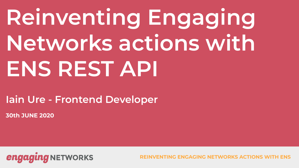# **Reinventing Engaging Networks actions with ENS REST API**

**Iain Ure - Frontend Developer**

**30th JUNE 2020**

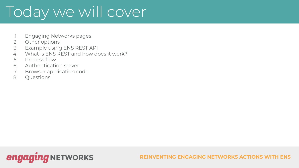## Today we will cover

- 1. Engaging Networks pages
- 2. Other options
- 3. Example using ENS REST API
- 4. What is ENS REST and how does it work?
- 5. Process flow
- 6. Authentication server
- 7. Browser application code
- 8. Questions

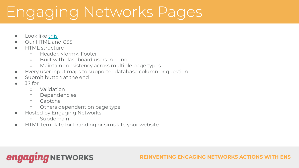### Engaging Networks Pages

- Look like [this](https://e-activist.com/page/57936/donate/1?mode=DEMO)
- Our HTML and CSS
- **HTML** structure
	- Header, <form>, Footer
	- Built with dashboard users in mind
	- Maintain consistency across multiple page types
- Every user input maps to supporter database column or question
- Submit button at the end
- JS for
	- Validation
	- Dependencies
	- Captcha
	- Others dependent on page type
- **Hosted by Engaging Networks** 
	- Subdomain
- HTML template for branding or simulate your website

### **engaging NETWORKS**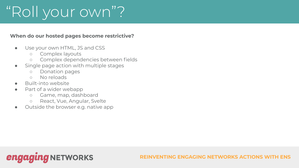## "Roll your own"?

#### **When do our hosted pages become restrictive?**

- Use your own HTML, JS and CSS
	- Complex layouts
	- Complex dependencies between fields
- Single page action with multiple stages
	- Donation pages
	- No reloads
- **Built-into website**
- Part of a wider webapp
	- Game, map, dashboard
	- React, Vue, Angular, Svelte
- Outside the browser e.g. native app

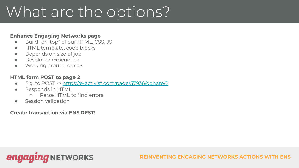### What are the options?

#### **Enhance Engaging Networks page**

- Build "on-top" of our HTML, CSS, JS
- HTML template, code blocks
- Depends on size of job
- Developer experience
- Working around our JS

#### **HTML form POST to page 2**

- E.g. to POST -> <https://e-activist.com/page/57936/donate/2>
- Responds in HTML
	- Parse HTML to find errors
- **Session validation**

### **Create transaction via ENS REST!**

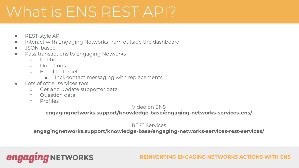### What is ENS REST API?

- REST-style API
- Interact with Engaging Networks from outside the dashboard
- JSON-based
- Pass transactions to Engaging Networks
	- Petitions
	- Donations
	- Email to Target
		- Incl. contact messaging with replacements
- Lots of other services too:
	- Get and update supporter data

**ING** NETWORKS

- Question data
- Profiles

engagl

#### Video on ENS

#### **engagingnetworks.support/knowledge-base/engaging-networks-services-ens/**

REST Services

**engagingnetworks.support/knowledge-base/engaging-networks-services-rest-services/**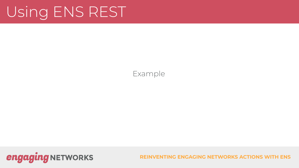### Using ENS REST

Example

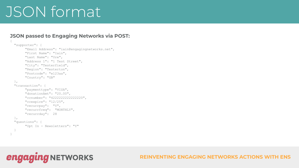### JSON format

#### **JSON passed to Engaging Networks via POST:**

```
{
  "supporter": {
       "Email Address": "iain@engagingnetworks.net",
       "First Name": "Iain",
       "Last Name": "Ure",
       "Address 1": "1 Test Street",
       "City": "Testerfield",
       "Region": "Testerton",
       "Postcode": "e123aa",
       "Country": "GB"
  },
  "transaction": {
       "paymenttype": "VISA",
       "donationAmt": "20.00",
       "ccnumber": "4222222222222220",
       "ccexpire": "12/25",
       "recurrpay": "Y",
       "recurrfreq": "MONTHLY",
       "recurrday": 28
  },
  "questions": {
       "Opt In - Newsletters": "Y"
\qquad \}}
```
**engaging NETWORKS**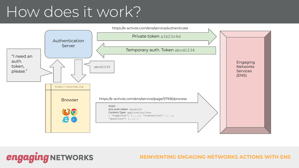### How does it work?

**engaging NETWORKS** 

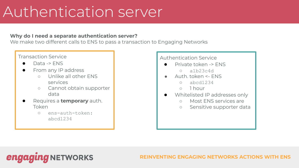### Authentication server

#### **Why do I need a separate authentication server?**

We make two different calls to ENS to pass a transaction to Engaging Networks

### Transaction Service

- Data -> ENS
- From any IP address
	- Unlike all other ENS services
	- Cannot obtain supporter data
- Requires a **temporary** auth. Token
	- ens-auth-token: abcd1234

### Authentication Service

- Private token -> FNS
	- $O$  alb23c4d
- Auth. token <- FNS
	- abcd1234
	- 1 hour
- Whitelisted IP addresses only
	- Most ENS services are
	- Sensitive supporter data

**NETWORKS** enga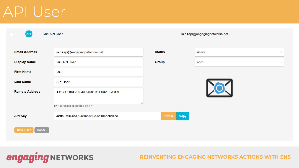### API User

**engaging NETWORKS** 

| $\Box$<br><b>API</b>  | lain API User |  |                                         | iain+api@engagingnetworks.net |      |        |              |
|-----------------------|---------------|--|-----------------------------------------|-------------------------------|------|--------|--------------|
|                       |               |  |                                         |                               |      |        |              |
| <b>Email Address</b>  |               |  | iain+api@engagingnetworks.net           | <b>Status</b>                 |      | Active | $\mathbf{v}$ |
| <b>Display Name</b>   |               |  | lain API User                           | <b>Group</b>                  |      | encc   | $\mathbf{v}$ |
| <b>First Name</b>     |               |  | lain                                    |                               |      |        |              |
| <b>Last Name</b>      |               |  | <b>API User</b>                         |                               |      |        |              |
| <b>Remote Address</b> |               |  | 1.2.3.4~100.200.300.400~991.992.993.994 |                               |      |        |              |
|                       |               |  | IP Addresses separated by a ~           |                               |      |        |              |
| <b>API Key</b>        |               |  | 489a0e90-6a45-4502-859c-cc10cdcbd4cd    | <b>Revoke</b>                 | Copy |        |              |
| <b>Save User</b>      | <b>Cancel</b> |  |                                         |                               |      |        |              |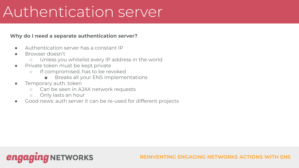### Authentication server

#### **Why do I need a separate authentication server?**

- Authentication server has a constant IP
- Browser doesn't
	- Unless you whitelist every IP address in the world
- Private token must be kept private
	- If compromised, has to be revoked
		- Breaks all your ENS implementations
- **•** Temporary auth. token
	- Can be seen in AJAX network requests
	- Only lasts an hour
- Good news: auth server it can be re-used for different projects

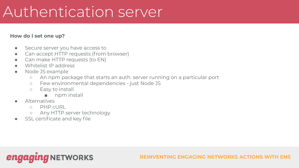### Authentication server

#### **How do I set one up?**

- Secure server you have access to
- Can accept HTTP requests (from browser)
- Can make HTTP requests (to EN)
- Whitelist IP address
- Node JS example
	- An npm package that starts an auth. server running on a particular port
	- Few environmental dependencies just Node JS
	- Easy to install
		- npm install
- **Alternatives** 
	- PHP cURL
	- Any HTTP server technology
- SSL certificate and key file

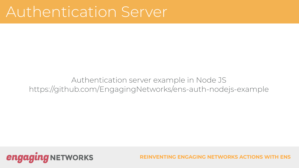### Authentication Server

Authentication server example in Node JS https://github.com/EngagingNetworks/ens-auth-nodejs-example



**FING ENGAGING NETWORKS ACTIONS**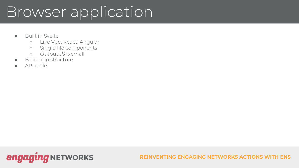### Browser application

- Built in Svelte
	- Like Vue, React, Angular
	- Single file components
	- Output JS is small
- Basic app structure
- API code

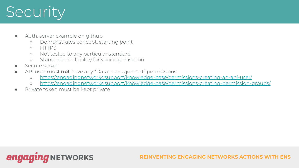## **Security**

- Auth. server example on github
	- Demonstrates concept, starting point
	- HTTPS
	- Not tested to any particular standard
	- Standards and policy for your organisation
- Secure server
- API user must **not** have any "Data management" permissions
	- o <https://engagingnetworks.support/knowledge-base/permissions-creating-an-api-user/>
	- o <https://engagingnetworks.support/knowledge-base/permissions-creating-permission-groups/>
- Private token must be kept private